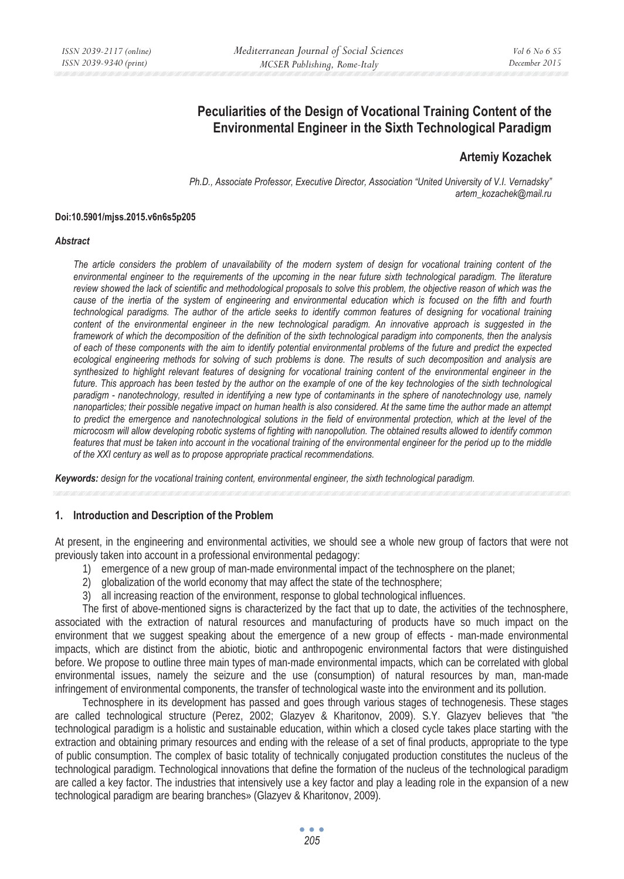# **Peculiarities of the Design of Vocational Training Content of the Environmental Engineer in the Sixth Technological Paradigm**

## **Artemiy Kozachek**

*Ph.D., Associate Professor, Executive Director, Association "United University of V.I. Vernadsky" artem\_kozachek@mail.ru* 

#### **Doi:10.5901/mjss.2015.v6n6s5p205**

#### *Abstract*

*The article considers the problem of unavailability of the modern system of design for vocational training content of the*  environmental engineer to the requirements of the upcoming in the near future sixth technological paradigm. The literature review showed the lack of scientific and methodological proposals to solve this problem, the objective reason of which was the *cause of the inertia of the system of engineering and environmental education which is focused on the fifth and fourth technological paradigms. The author of the article seeks to identify common features of designing for vocational training*  content of the environmental engineer in the new technological paradigm. An innovative approach is suggested in the *framework of which the decomposition of the definition of the sixth technological paradigm into components, then the analysis of each of these components with the aim to identify potential environmental problems of the future and predict the expected ecological engineering methods for solving of such problems is done. The results of such decomposition and analysis are synthesized to highlight relevant features of designing for vocational training content of the environmental engineer in the future. This approach has been tested by the author on the example of one of the key technologies of the sixth technological paradigm - nanotechnology, resulted in identifying a new type of contaminants in the sphere of nanotechnology use, namely nanoparticles; their possible negative impact on human health is also considered. At the same time the author made an attempt to predict the emergence and nanotechnological solutions in the field of environmental protection, which at the level of the microcosm will allow developing robotic systems of fighting with nanopollution. The obtained results allowed to identify common* features that must be taken into account in the vocational training of the environmental engineer for the period up to the middle *of the XXI century as well as to propose appropriate practical recommendations.* 

*Keywords: design for the vocational training content, environmental engineer, the sixth technological paradigm.*

#### **1. Introduction and Description of the Problem**

At present, in the engineering and environmental activities, we should see a whole new group of factors that were not previously taken into account in a professional environmental pedagogy:

- 1) emergence of a new group of man-made environmental impact of the technosphere on the planet;
- 2) globalization of the world economy that may affect the state of the technosphere;
- 3) all increasing reaction of the environment, response to global technological influences.

The first of above-mentioned signs is characterized by the fact that up to date, the activities of the technosphere, associated with the extraction of natural resources and manufacturing of products have so much impact on the environment that we suggest speaking about the emergence of a new group of effects - man-made environmental impacts, which are distinct from the abiotic, biotic and anthropogenic environmental factors that were distinguished before. We propose to outline three main types of man-made environmental impacts, which can be correlated with global environmental issues, namely the seizure and the use (consumption) of natural resources by man, man-made infringement of environmental components, the transfer of technological waste into the environment and its pollution.

Technosphere in its development has passed and goes through various stages of technogenesis. These stages are called technological structure (Perez, 2002; Glazyev & Kharitonov, 2009). S.Y. Glazyev believes that "the technological paradigm is a holistic and sustainable education, within which a closed cycle takes place starting with the extraction and obtaining primary resources and ending with the release of a set of final products, appropriate to the type of public consumption. The complex of basic totality of technically conjugated production constitutes the nucleus of the technological paradigm. Technological innovations that define the formation of the nucleus of the technological paradigm are called a key factor. The industries that intensively use a key factor and play a leading role in the expansion of a new technological paradigm are bearing branches» (Glazyev & Kharitonov, 2009).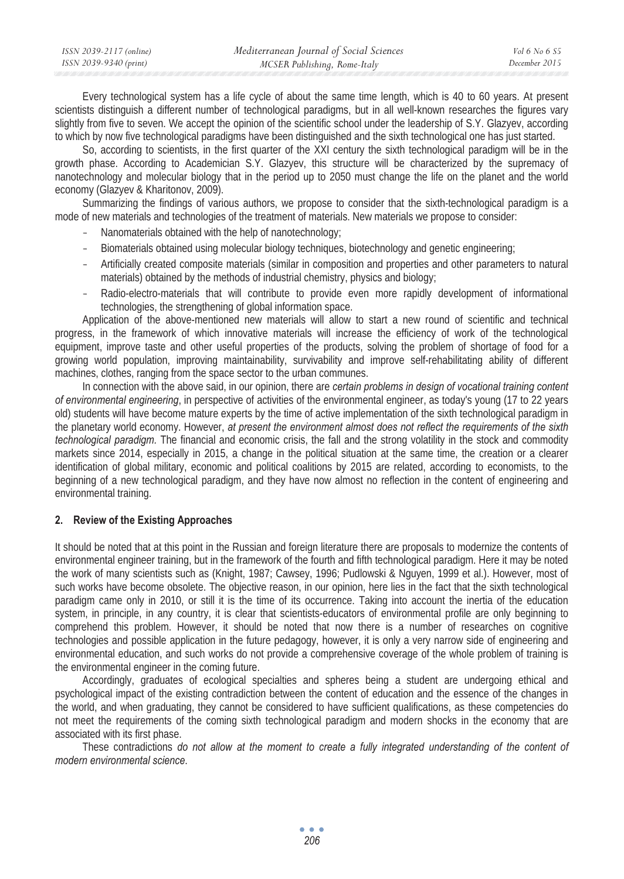| ISSN 2039-2117 (online) | Mediterranean Journal of Social Sciences | <i>Vol 6 No 6 S5</i> |
|-------------------------|------------------------------------------|----------------------|
| ISSN 2039-9340 (print)  | MCSER Publishing, Rome-Italy             | December 2015        |

Every technological system has a life cycle of about the same time length, which is 40 to 60 years. At present scientists distinguish a different number of technological paradigms, but in all well-known researches the figures vary slightly from five to seven. We accept the opinion of the scientific school under the leadership of S.Y. Glazyev, according to which by now five technological paradigms have been distinguished and the sixth technological one has just started.

So, according to scientists, in the first quarter of the XXI century the sixth technological paradigm will be in the growth phase. According to Academician S.Y. Glazyev, this structure will be characterized by the supremacy of nanotechnology and molecular biology that in the period up to 2050 must change the life on the planet and the world economy (Glazyev & Kharitonov, 2009).

Summarizing the findings of various authors, we propose to consider that the sixth-technological paradigm is a mode of new materials and technologies of the treatment of materials. New materials we propose to consider:

- Nanomaterials obtained with the help of nanotechnology;
- Biomaterials obtained using molecular biology techniques, biotechnology and genetic engineering;
- Artificially created composite materials (similar in composition and properties and other parameters to natural materials) obtained by the methods of industrial chemistry, physics and biology;
- Radio-electro-materials that will contribute to provide even more rapidly development of informational technologies, the strengthening of global information space.

Application of the above-mentioned new materials will allow to start a new round of scientific and technical progress, in the framework of which innovative materials will increase the efficiency of work of the technological equipment, improve taste and other useful properties of the products, solving the problem of shortage of food for a growing world population, improving maintainability, survivability and improve self-rehabilitating ability of different machines, clothes, ranging from the space sector to the urban communes.

In connection with the above said, in our opinion, there are *certain problems in design of vocational training content of environmental engineering*, in perspective of activities of the environmental engineer, as today's young (17 to 22 years old) students will have become mature experts by the time of active implementation of the sixth technological paradigm in the planetary world economy. However, *at present the environment almost does not reflect the requirements of the sixth technological paradigm.* The financial and economic crisis, the fall and the strong volatility in the stock and commodity markets since 2014, especially in 2015, a change in the political situation at the same time, the creation or a clearer identification of global military, economic and political coalitions by 2015 are related, according to economists, to the beginning of a new technological paradigm, and they have now almost no reflection in the content of engineering and environmental training.

#### **2. Review of the Existing Approaches**

It should be noted that at this point in the Russian and foreign literature there are proposals to modernize the contents of environmental engineer training, but in the framework of the fourth and fifth technological paradigm. Here it may be noted the work of many scientists such as (Knight, 1987; Cawsey, 1996; Pudlowski & Nguyen, 1999 et al.). However, most of such works have become obsolete. The objective reason, in our opinion, here lies in the fact that the sixth technological paradigm came only in 2010, or still it is the time of its occurrence. Taking into account the inertia of the education system, in principle, in any country, it is clear that scientists-educators of environmental profile are only beginning to comprehend this problem. However, it should be noted that now there is a number of researches on cognitive technologies and possible application in the future pedagogy, however, it is only a very narrow side of engineering and environmental education, and such works do not provide a comprehensive coverage of the whole problem of training is the environmental engineer in the coming future.

Accordingly, graduates of ecological specialties and spheres being a student are undergoing ethical and psychological impact of the existing contradiction between the content of education and the essence of the changes in the world, and when graduating, they cannot be considered to have sufficient qualifications, as these competencies do not meet the requirements of the coming sixth technological paradigm and modern shocks in the economy that are associated with its first phase.

These contradictions *do not allow at the moment to create a fully integrated understanding of the content of modern environmental science*.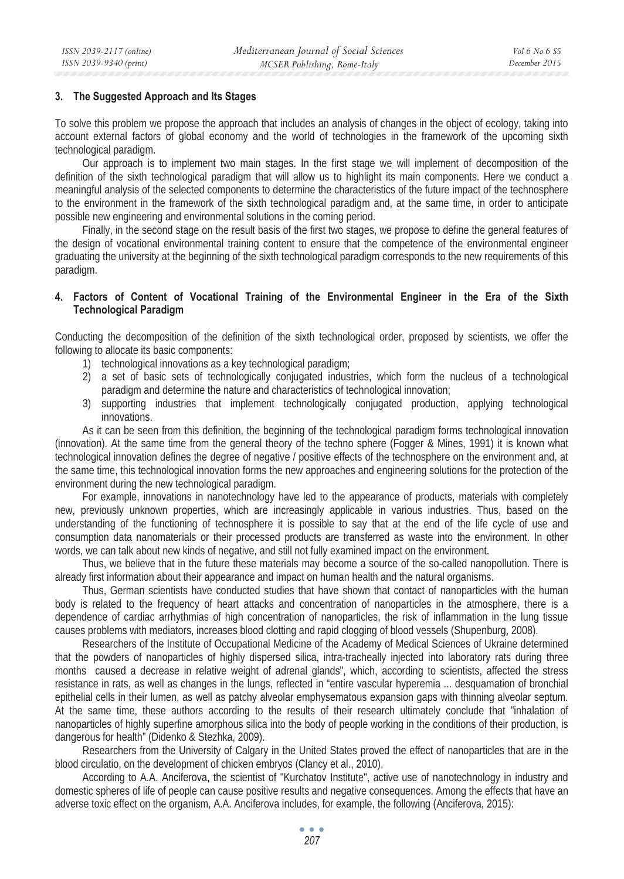#### **3. The Suggested Approach and Its Stages**

To solve this problem we propose the approach that includes an analysis of changes in the object of ecology, taking into account external factors of global economy and the world of technologies in the framework of the upcoming sixth technological paradigm.

Our approach is to implement two main stages. In the first stage we will implement of decomposition of the definition of the sixth technological paradigm that will allow us to highlight its main components. Here we conduct a meaningful analysis of the selected components to determine the characteristics of the future impact of the technosphere to the environment in the framework of the sixth technological paradigm and, at the same time, in order to anticipate possible new engineering and environmental solutions in the coming period.

Finally, in the second stage on the result basis of the first two stages, we propose to define the general features of the design of vocational environmental training content to ensure that the competence of the environmental engineer graduating the university at the beginning of the sixth technological paradigm corresponds to the new requirements of this paradigm.

## **4. Factors of Content of Vocational Training of the Environmental Engineer in the Era of the Sixth Technological Paradigm**

Conducting the decomposition of the definition of the sixth technological order, proposed by scientists, we offer the following to allocate its basic components:

- 1) technological innovations as a key technological paradigm;
- 2) a set of basic sets of technologically conjugated industries, which form the nucleus of a technological paradigm and determine the nature and characteristics of technological innovation;
- 3) supporting industries that implement technologically conjugated production, applying technological innovations.

As it can be seen from this definition, the beginning of the technological paradigm forms technological innovation (innovation). At the same time from the general theory of the techno sphere (Fogger & Mines, 1991) it is known what technological innovation defines the degree of negative / positive effects of the technosphere on the environment and, at the same time, this technological innovation forms the new approaches and engineering solutions for the protection of the environment during the new technological paradigm.

For example, innovations in nanotechnology have led to the appearance of products, materials with completely new, previously unknown properties, which are increasingly applicable in various industries. Thus, based on the understanding of the functioning of technosphere it is possible to say that at the end of the life cycle of use and consumption data nanomaterials or their processed products are transferred as waste into the environment. In other words, we can talk about new kinds of negative, and still not fully examined impact on the environment.

Thus, we believe that in the future these materials may become a source of the so-called nanopollution. There is already first information about their appearance and impact on human health and the natural organisms.

Thus, German scientists have conducted studies that have shown that contact of nanoparticles with the human body is related to the frequency of heart attacks and concentration of nanoparticles in the atmosphere, there is a dependence of cardiac arrhythmias of high concentration of nanoparticles, the risk of inflammation in the lung tissue causes problems with mediators, increases blood clotting and rapid clogging of blood vessels (Shupenburg, 2008).

Researchers of the Institute of Occupational Medicine of the Academy of Medical Sciences of Ukraine determined that the powders of nanoparticles of highly dispersed silica, intra-tracheally injected into laboratory rats during three months caused a decrease in relative weight of adrenal glands", which, according to scientists, affected the stress resistance in rats, as well as changes in the lungs, reflected in "entire vascular hyperemia ... desquamation of bronchial epithelial cells in their lumen, as well as patchy alveolar emphysematous expansion gaps with thinning alveolar septum. At the same time, these authors according to the results of their research ultimately conclude that "inhalation of nanoparticles of highly superfine amorphous silica into the body of people working in the conditions of their production, is dangerous for health" (Didenko & Stezhka, 2009).

Researchers from the University of Calgary in the United States proved the effect of nanoparticles that are in the blood circulatio, on the development of chicken embryos (Clancy et al., 2010).

According to A.A. Anciferova, the scientist of "Kurchatov Institute", active use of nanotechnology in industry and domestic spheres of life of people can cause positive results and negative consequences. Among the effects that have an adverse toxic effect on the organism, A.A. Anciferova includes, for example, the following (Anciferova, 2015):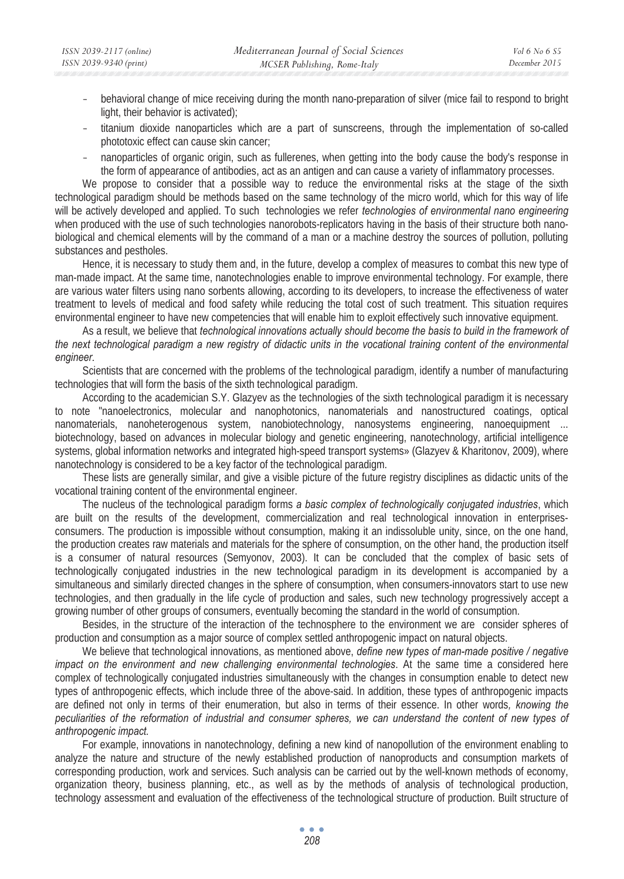- behavioral change of mice receiving during the month nano-preparation of silver (mice fail to respond to bright light, their behavior is activated);
- titanium dioxide nanoparticles which are a part of sunscreens, through the implementation of so-called phototoxic effect can cause skin cancer;
- nanoparticles of organic origin, such as fullerenes, when getting into the body cause the body's response in the form of appearance of antibodies, act as an antigen and can cause a variety of inflammatory processes.

We propose to consider that a possible way to reduce the environmental risks at the stage of the sixth technological paradigm should be methods based on the same technology of the micro world, which for this way of life will be actively developed and applied. To such technologies we refer *technologies of environmental nano engineering* when produced with the use of such technologies nanorobots-replicators having in the basis of their structure both nanobiological and chemical elements will by the command of a man or a machine destroy the sources of pollution, polluting substances and pestholes.

Hence, it is necessary to study them and, in the future, develop a complex of measures to combat this new type of man-made impact. At the same time, nanotechnologies enable to improve environmental technology. For example, there are various water filters using nano sorbents allowing, according to its developers, to increase the effectiveness of water treatment to levels of medical and food safety while reducing the total cost of such treatment. This situation requires environmental engineer to have new competencies that will enable him to exploit effectively such innovative equipment.

#### As a result, we believe that *technological innovations actually should become the basis to build in the framework of the next technological paradigm a new registry of didactic units in the vocational training content of the environmental engineer.*

Scientists that are concerned with the problems of the technological paradigm, identify a number of manufacturing technologies that will form the basis of the sixth technological paradigm.

According to the academician S.Y. Glazyev as the technologies of the sixth technological paradigm it is necessary to note "nanoelectronics, molecular and nanophotonics, nanomaterials and nanostructured coatings, optical nanomaterials, nanoheterogenous system, nanobiotechnology, nanosystems engineering, nanoequipment ... biotechnology, based on advances in molecular biology and genetic engineering, nanotechnology, artificial intelligence systems, global information networks and integrated high-speed transport systems» (Glazyev & Kharitonov, 2009), where nanotechnology is considered to be a key factor of the technological paradigm.

These lists are generally similar, and give a visible picture of the future registry disciplines as didactic units of the vocational training content of the environmental engineer.

The nucleus of the technological paradigm forms *a basic complex of technologically conjugated industries*, which are built on the results of the development, commercialization and real technological innovation in enterprisesconsumers. The production is impossible without consumption, making it an indissoluble unity, since, on the one hand, the production creates raw materials and materials for the sphere of consumption, on the other hand, the production itself is a consumer of natural resources (Semyonov, 2003). It can be concluded that the complex of basic sets of technologically conjugated industries in the new technological paradigm in its development is accompanied by a simultaneous and similarly directed changes in the sphere of consumption, when consumers-innovators start to use new technologies, and then gradually in the life cycle of production and sales, such new technology progressively accept a growing number of other groups of consumers, eventually becoming the standard in the world of consumption.

Besides, in the structure of the interaction of the technosphere to the environment we are consider spheres of production and consumption as a major source of complex settled anthropogenic impact on natural objects.

We believe that technological innovations, as mentioned above, *define new types of man-made positive / negative impact on the environment and new challenging environmental technologies*. At the same time a considered here complex of technologically conjugated industries simultaneously with the changes in consumption enable to detect new types of anthropogenic effects, which include three of the above-said. In addition, these types of anthropogenic impacts are defined not only in terms of their enumeration, but also in terms of their essence. In other words*, knowing the peculiarities of the reformation of industrial and consumer spheres, we can understand the content of new types of anthropogenic impact.* 

For example, innovations in nanotechnology, defining a new kind of nanopollution of the environment enabling to analyze the nature and structure of the newly established production of nanoproducts and consumption markets of corresponding production, work and services. Such analysis can be carried out by the well-known methods of economy, organization theory, business planning, etc., as well as by the methods of analysis of technological production, technology assessment and evaluation of the effectiveness of the technological structure of production. Built structure of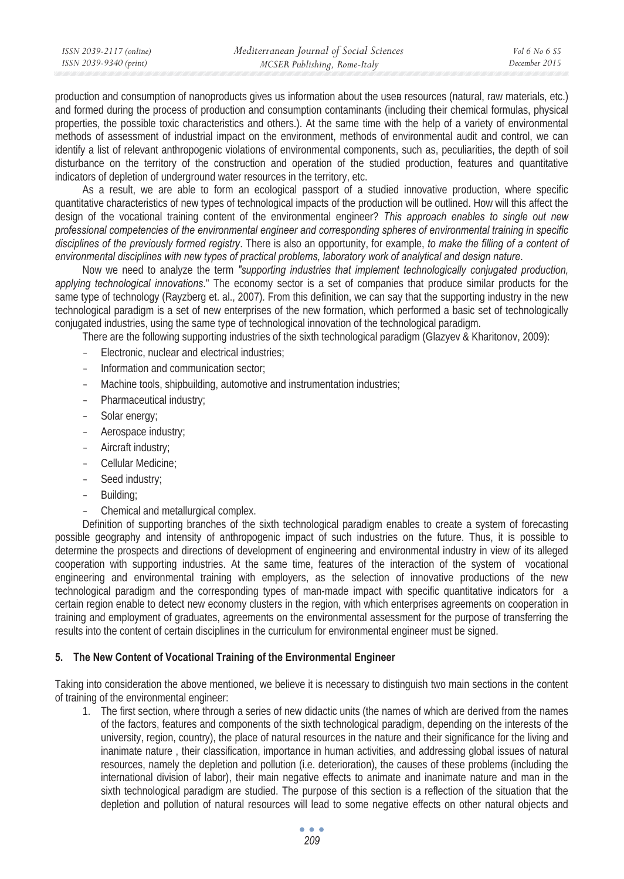| ISSN 2039-2117 (online) | Mediterranean Journal of Social Sciences | Vol 6 No 6 S5 |
|-------------------------|------------------------------------------|---------------|
| ISSN 2039-9340 (print)  | MCSER Publishing, Rome-Italy             | December 2015 |
|                         |                                          |               |

production and consumption of nanoproducts gives us information about the uses resources (natural, raw materials, etc.) and formed during the process of production and consumption contaminants (including their chemical formulas, physical properties, the possible toxic characteristics and others.). At the same time with the help of a variety of environmental methods of assessment of industrial impact on the environment, methods of environmental audit and control, we can identify a list of relevant anthropogenic violations of environmental components, such as, peculiarities, the depth of soil disturbance on the territory of the construction and operation of the studied production, features and quantitative indicators of depletion of underground water resources in the territory, etc.

As a result, we are able to form an ecological passport of a studied innovative production, where specific quantitative characteristics of new types of technological impacts of the production will be outlined. How will this affect the design of the vocational training content of the environmental engineer? *This approach enables to single out new professional competencies of the environmental engineer and corresponding spheres of environmental training in specific disciplines of the previously formed registry*. There is also an opportunity, for example, *to make the filling of a content of environmental disciplines with new types of practical problems, laboratory work of analytical and design nature*.

Now we need to analyze the term *"supporting industries that implement technologically conjugated production, applying technological innovations*." The economy sector is a set of companies that produce similar products for the same type of technology (Rayzberg et. al., 2007). From this definition, we can say that the supporting industry in the new technological paradigm is a set of new enterprises of the new formation, which performed a basic set of technologically conjugated industries, using the same type of technological innovation of the technological paradigm.

There are the following supporting industries of the sixth technological paradigm (Glazyev & Kharitonov, 2009):

- Electronic, nuclear and electrical industries;
- Information and communication sector:
- Machine tools, shipbuilding, automotive and instrumentation industries;
- Pharmaceutical industry;
- Solar energy;
- Aerospace industry;
- Aircraft industry;
- Cellular Medicine:
- Seed industry;
- Building;
- Chemical and metallurgical complex.

Definition of supporting branches of the sixth technological paradigm enables to create a system of forecasting possible geography and intensity of anthropogenic impact of such industries on the future. Thus, it is possible to determine the prospects and directions of development of engineering and environmental industry in view of its alleged cooperation with supporting industries. At the same time, features of the interaction of the system of vocational engineering and environmental training with employers, as the selection of innovative productions of the new technological paradigm and the corresponding types of man-made impact with specific quantitative indicators for a certain region enable to detect new economy clusters in the region, with which enterprises agreements on cooperation in training and employment of graduates, agreements on the environmental assessment for the purpose of transferring the results into the content of certain disciplines in the curriculum for environmental engineer must be signed.

#### **5. The New Content of Vocational Training of the Environmental Engineer**

Taking into consideration the above mentioned, we believe it is necessary to distinguish two main sections in the content of training of the environmental engineer:

1. The first section, where through a series of new didactic units (the names of which are derived from the names of the factors, features and components of the sixth technological paradigm, depending on the interests of the university, region, country), the place of natural resources in the nature and their significance for the living and inanimate nature , their classification, importance in human activities, and addressing global issues of natural resources, namely the depletion and pollution (i.e. deterioration), the causes of these problems (including the international division of labor), their main negative effects to animate and inanimate nature and man in the sixth technological paradigm are studied. The purpose of this section is a reflection of the situation that the depletion and pollution of natural resources will lead to some negative effects on other natural objects and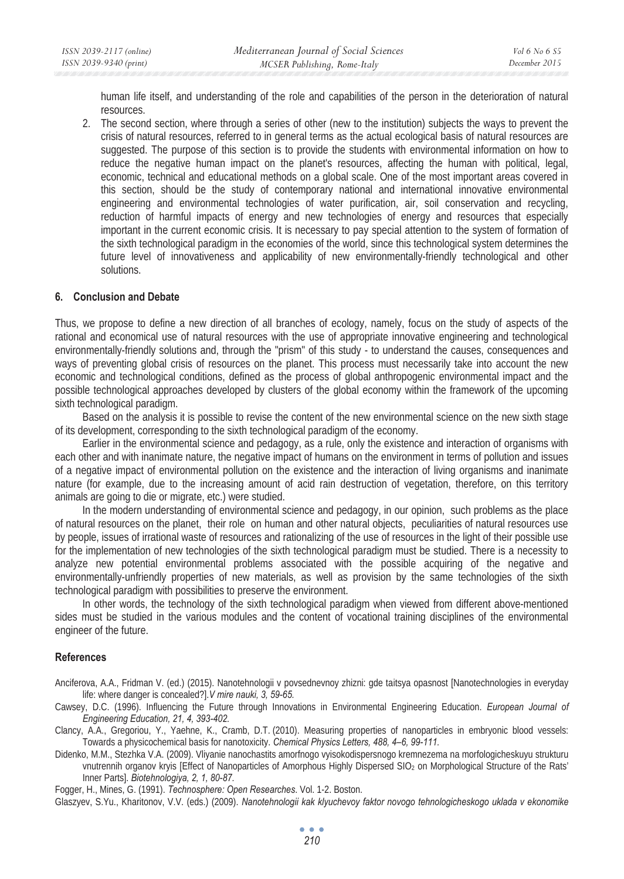human life itself, and understanding of the role and capabilities of the person in the deterioration of natural resources.

2. The second section, where through a series of other (new to the institution) subjects the ways to prevent the crisis of natural resources, referred to in general terms as the actual ecological basis of natural resources are suggested. The purpose of this section is to provide the students with environmental information on how to reduce the negative human impact on the planet's resources, affecting the human with political, legal, economic, technical and educational methods on a global scale. One of the most important areas covered in this section, should be the study of contemporary national and international innovative environmental engineering and environmental technologies of water purification, air, soil conservation and recycling, reduction of harmful impacts of energy and new technologies of energy and resources that especially important in the current economic crisis. It is necessary to pay special attention to the system of formation of the sixth technological paradigm in the economies of the world, since this technological system determines the future level of innovativeness and applicability of new environmentally-friendly technological and other solutions.

### **6. Conclusion and Debate**

Thus, we propose to define a new direction of all branches of ecology, namely, focus on the study of aspects of the rational and economical use of natural resources with the use of appropriate innovative engineering and technological environmentally-friendly solutions and, through the "prism" of this study - to understand the causes, consequences and ways of preventing global crisis of resources on the planet. This process must necessarily take into account the new economic and technological conditions, defined as the process of global anthropogenic environmental impact and the possible technological approaches developed by clusters of the global economy within the framework of the upcoming sixth technological paradigm.

Based on the analysis it is possible to revise the content of the new environmental science on the new sixth stage of its development, corresponding to the sixth technological paradigm of the economy.

Earlier in the environmental science and pedagogy, as a rule, only the existence and interaction of organisms with each other and with inanimate nature, the negative impact of humans on the environment in terms of pollution and issues of a negative impact of environmental pollution on the existence and the interaction of living organisms and inanimate nature (for example, due to the increasing amount of acid rain destruction of vegetation, therefore, on this territory animals are going to die or migrate, etc.) were studied.

In the modern understanding of environmental science and pedagogy, in our opinion, such problems as the place of natural resources on the planet, their role on human and other natural objects, peculiarities of natural resources use by people, issues of irrational waste of resources and rationalizing of the use of resources in the light of their possible use for the implementation of new technologies of the sixth technological paradigm must be studied. There is a necessity to analyze new potential environmental problems associated with the possible acquiring of the negative and environmentally-unfriendly properties of new materials, as well as provision by the same technologies of the sixth technological paradigm with possibilities to preserve the environment.

In other words, the technology of the sixth technological paradigm when viewed from different above-mentioned sides must be studied in the various modules and the content of vocational training disciplines of the environmental engineer of the future.

#### **References**

Anciferova, A.A., Fridman V. (ed.) (2015). Nanotehnologii v povsednevnoy zhizni: gde taitsya opasnost [Nanotechnologies in everyday life: where danger is concealed?].*V mire nauki, 3, 59-65.* 

Cawsey, D.C. (1996). Influencing the Future through Innovations in Environmental Engineering Education. *European Journal of Engineering Education, 21, 4, 393-402.* 

Clancy, A.A., Gregoriou, Y., Yaehne, K., Cramb, D.T. (2010). Measuring properties of nanoparticles in embryonic blood vessels: Towards a physicochemical basis for nanotoxicity. *Chemical Physics Letters, 488, 4–6, 99-111.* 

Didenko, M.M., Stezhka V.A. (2009). Vliyanie nanochastits amorfnogo vyisokodispersnogo kremnezema na morfologicheskuyu strukturu vnutrennih organov kryis [Effect of Nanoparticles of Amorphous Highly Dispersed SIO<sub>2</sub> on Morphological Structure of the Rats' Inner Parts]. *Biotehnologiya, 2, 1, 80-87.* 

Fogger, H., Mines, G. (1991). *Technosphere: Open Researches*. Vol. 1-2. Boston.

Glaszyev, S.Yu., Kharitonov, V.V. (eds.) (2009). *Nanotehnologii kak klyuchevoy faktor novogo tehnologicheskogo uklada v ekonomike*